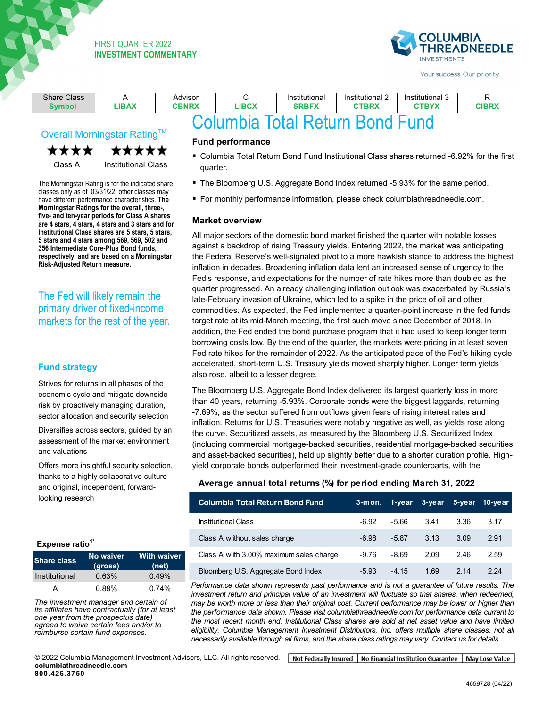

Your success. Our priority.

| <b>Share Class</b><br><b>Symbol</b> | LIBAX | Advisor<br><b>CBNRX</b> | LIBCX | Institutional<br><b>SRBFX</b> | Institutional 2<br><b>CTBRX</b> | Institutional 3<br><b>CTBYX</b> | <b>CIBRX</b> |
|-------------------------------------|-------|-------------------------|-------|-------------------------------|---------------------------------|---------------------------------|--------------|
| Columbia Total Return Bond Fund     |       |                         |       |                               |                                 |                                 |              |

# Overall Morningstar Rating<sup>™</sup>

\*\*\*\* \*\*\*\*\*

Class A Institutional Class

**CONDUCTER IN THE CONDUCT OF THE CONDUCT SHOW CLASSES ONly as of 03/31/22; other classes may** have different performance characteristics. The morningstal Katings for the overall, three-,<br>five- and ten-year periods for Class A shares are 4 stars, 4 stars, 4 stars and 3 stars and for ▪ **> Adheres to a time-tested 5 stars and 4 stars among 569, 569, 502 and investment process,** which relies **356 Intermediate Core-Plus Bond funds,**  respectivery, and are based on a morningsta<br>Risk-Adjusted Return measure. opportunities The Morningstar Rating is for the indicated share **Morningstar Ratings for the overall, three-, Institutional Class shares are 5 stars, 5 stars, respectively, and are based on a Morningstar** 

The Fed will likely remain the primary driver of fixed-income markets for the rest of the year.

# **Fund strategy**

Strives for returns in all phases of the economic cycle and mitigate downside risk by proactively managing duration, sector allocation and security selection

Diversifies across sectors, guided by an assessment of the market environment and valuations

Offers more insightful security selection, thanks to a highly collaborative culture and original, independent, forwardlooking research

# **Expense ratio1\***

| <b>Share class</b> | No waiver<br>(gross) | <b>With waiver</b><br>(net) |
|--------------------|----------------------|-----------------------------|
| Institutional      | 0.63%                | 0.49%                       |
| А                  | 0.88%                | 0.74%                       |

▪**Share**  rie IIIV<br>o offili ▪**Without waiver**  ll *IIIaria*<br>Vo anni ▪**With waiver**  *The investment manager and certain of*<br>its officiates have contractually (for at local ▪ A ▪ 1.08% ▪ — *one year from the prospectus date)*  ▪ Z ▪ 0.79% ▪ — *reimburse certain fund expenses. its affiliates have contractually (for at least agreed to waive certain fees and/or to* 

### **Fund performance**

- Columbia Total Return Bond Fund Institutional Class shares returned -6.92% for the first quarter.
- The Bloomberg U.S. Aggregate Bond Index returned -5.93% for the same period.
- For monthly performance information, please check columbiathreadneedle.com.

#### **Market overview**

All major sectors of the domestic bond market finished the quarter with notable losses against a backdrop of rising Treasury yields. Entering 2022, the market was anticipating the Federal Reserve's well-signaled pivot to a more hawkish stance to address the highest inflation in decades. Broadening inflation data lent an increased sense of urgency to the Fed's response, and expectations for the number of rate hikes more than doubled as the quarter progressed. An already challenging inflation outlook was exacerbated by Russia's late-February invasion of Ukraine, which led to a spike in the price of oil and other commodities. As expected, the Fed implemented a quarter-point increase in the fed funds target rate at its mid-March meeting, the first such move since December of 2018. In addition, the Fed ended the bond purchase program that it had used to keep longer term borrowing costs low. By the end of the quarter, the markets were pricing in at least seven Fed rate hikes for the remainder of 2022. As the anticipated pace of the Fed's hiking cycle accelerated, short-term U.S. Treasury yields moved sharply higher. Longer term yields also rose, albeit to a lesser degree.

The Bloomberg U.S. Aggregate Bond Index delivered its largest quarterly loss in more than 40 years, returning -5.93%. Corporate bonds were the biggest laggards, returning -7.69%, as the sector suffered from outflows given fears of rising interest rates and inflation. Returns for U.S. Treasuries were notably negative as well, as yields rose along the curve. Securitized assets, as measured by the Bloomberg U.S. Securitized Index (including commercial mortgage-backed securities, residential mortgage-backed securities and asset-backed securities), held up slightly better due to a shorter duration profile. Highyield corporate bonds outperformed their investment-grade counterparts, with the

# **Average annual total returns (%) for period ending March 31, 2022**

| <b>Columbia Total Return Bond Fund</b>  |         |         | 3-mon. 1-year 3-year 5-year 10-year |      |      |
|-----------------------------------------|---------|---------|-------------------------------------|------|------|
| <b>Institutional Class</b>              | $-6.92$ | $-5.66$ | 3.41                                | 3.36 | 3.17 |
| Class A w ithout sales charge           | $-6.98$ | $-5.87$ | 3.13                                | 3.09 | 2.91 |
| Class A with 3.00% maximum sales charge | $-9.76$ | $-8.69$ | 2.09                                | 2.46 | 2.59 |
| Bloomberg U.S. Aggregate Bond Index     | $-5.93$ | $-4.15$ | 1.69                                | 2.14 | 2.24 |

*Performance data shown represents past performance and is not a guarantee of future results. The*  investment return and principal value of an investment will fluctuate so that shares, when redeemed, *may be worth more or less than their original cost. Current performance may be lower or higher than the performance data shown. Please visit columbiathreadneedle.com for performance data current to the most recent month end. Institutional Class shares are sold at net asset value and have limited eligibility. Columbia Management Investment Distributors, Inc. offers multiple share classes, not all necessarily available through all firms, and the share class ratings may vary. Contact us for details.*

Not Federally Insured | No Financial Institution Guarantee | May Lose Value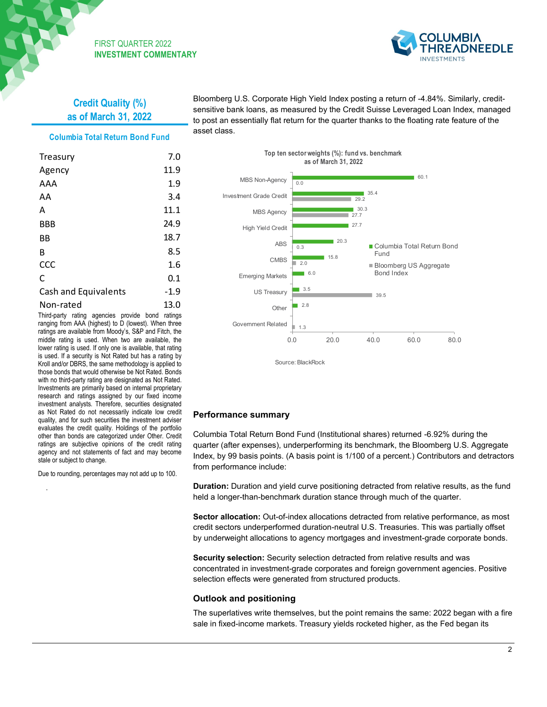

# **Credit Quality (%) as of March 31, 2022**

#### **Columbia Total Return Bond Fund**

| Treasury             | 7.0    |
|----------------------|--------|
| Agency               | 11.9   |
| AAA                  | 1.9    |
| AA                   | 3.4    |
| А                    | 11.1   |
| BBB                  | 24.9   |
| ВB                   | 18.7   |
| B                    | 8.5    |
| CCC                  | 1.6    |
| C                    | 0.1    |
| Cash and Equivalents | $-1.9$ |
| Non-rated            | 13.0   |

Third-party rating agencies provide bond ratings ranging from AAA (highest) to D (lowest). When three ratings are available from Moody's, S&P and Fitch, the middle rating is used. When two are available, the lower rating is used. If only one is available, that rating is used. If a security is Not Rated but has a rating by Kroll and/or DBRS, the same methodology is applied to those bonds that would otherwise be Not Rated. Bonds with no third-party rating are designated as Not Rated. Investments are primarily based on internal proprietary research and ratings assigned by our fixed income investment analysts. Therefore, securities designated as Not Rated do not necessarily indicate low credit quality, and for such securities the investment adviser evaluates the credit quality. Holdings of the portfolio other than bonds are categorized under Other. Credit ratings are subjective opinions of the credit rating agency and not statements of fact and may become stale or subject to change.

Due to rounding, percentages may not add up to 100.

.

Bloomberg U.S. Corporate High Yield Index posting a return of -4.84%. Similarly, creditsensitive bank loans, as measured by the Credit Suisse Leveraged Loan Index, managed to post an essentially flat return for the quarter thanks to the floating rate feature of the asset class.



# **Performance summary**

Columbia Total Return Bond Fund (Institutional shares) returned -6.92% during the quarter (after expenses), underperforming its benchmark, the Bloomberg U.S. Aggregate Index, by 99 basis points. (A basis point is 1/100 of a percent.) Contributors and detractors from performance include:

**Duration:** Duration and yield curve positioning detracted from relative results, as the fund held a longer-than-benchmark duration stance through much of the quarter.

**Sector allocation:** Out-of-index allocations detracted from relative performance, as most credit sectors underperformed duration-neutral U.S. Treasuries. This was partially offset by underweight allocations to agency mortgages and investment-grade corporate bonds.

**Security selection:** Security selection detracted from relative results and was concentrated in investment-grade corporates and foreign government agencies. Positive selection effects were generated from structured products.

#### **Outlook and positioning**

The superlatives write themselves, but the point remains the same: 2022 began with a fire sale in fixed-income markets. Treasury yields rocketed higher, as the Fed began its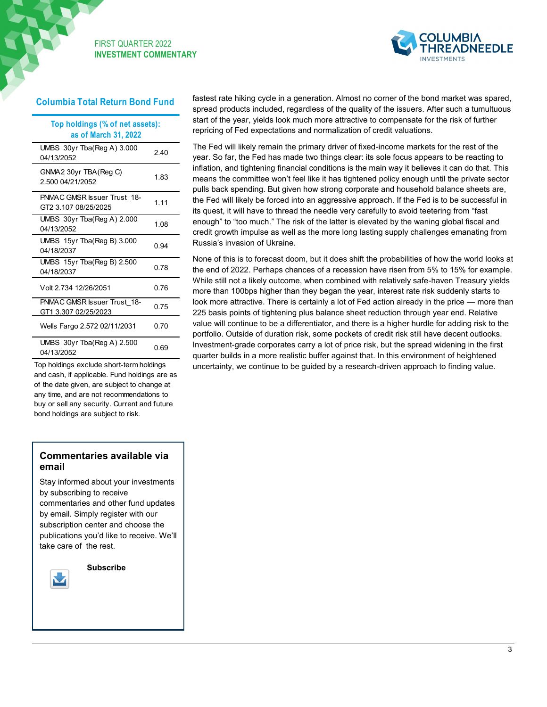

# **Columbia Total Return Bond Fund**

| Top holdings (% of net assets):<br>as of March 31, 2022 |      |
|---------------------------------------------------------|------|
| UMBS 30yr Tba(Reg A) 3.000<br>04/13/2052                | 240  |
| GNMA2 30yr TBA(Reg C)<br>2 500 04/21/2052               | 1.83 |
| PNMAC GMSR Issuer Trust 18-<br>GT2 3.107 08/25/2025     | 1.11 |
| UMBS 30yr Tba(Reg A) 2.000<br>04/13/2052                | 1.08 |
| UMBS 15yr Tba(Reg B) 3.000<br>04/18/2037                | 0.94 |
| UMBS 15yr Tba(Reg B) 2.500<br>04/18/2037                | 0.78 |
| Volt 2.734 12/26/2051                                   | 0 76 |
| PNMAC GMSR Issuer Trust_18-<br>GT1 3.307 02/25/2023     | 0.75 |
| Wells Fargo 2.572 02/11/2031                            | 0 70 |
| UMBS $30yr$ Tba(Reg A) 2.500<br>04/13/2052              | 0.69 |

Top holdings exclude short-term holdings and cash, if applicable. Fund holdings are as of the date given, are subject to change at any time, and are not recommendations to buy or sell any security. Current and future bond holdings are subject to risk.

# **Commentaries available via email**

Stay informed about your investments by subscribing to receive commentaries and other fund updates by email. Simply register with our subscription center and choose the publications you'd like to receive. We'll take care of the rest.



 **Subscribe**

fastest rate hiking cycle in a generation. Almost no corner of the bond market was spared, spread products included, regardless of the quality of the issuers. After such a tumultuous start of the year, yields look much more attractive to compensate for the risk of further repricing of Fed expectations and normalization of credit valuations.

The Fed will likely remain the primary driver of fixed-income markets for the rest of the year. So far, the Fed has made two things clear: its sole focus appears to be reacting to inflation, and tightening financial conditions is the main way it believes it can do that. This means the committee won't feel like it has tightened policy enough until the private sector pulls back spending. But given how strong corporate and household balance sheets are, the Fed will likely be forced into an aggressive approach. If the Fed is to be successful in its quest, it will have to thread the needle very carefully to avoid teetering from "fast enough" to "too much." The risk of the latter is elevated by the waning global fiscal and credit growth impulse as well as the more long lasting supply challenges emanating from Russia's invasion of Ukraine.

None of this is to forecast doom, but it does shift the probabilities of how the world looks at the end of 2022. Perhaps chances of a recession have risen from 5% to 15% for example. While still not a likely outcome, when combined with relatively safe-haven Treasury yields more than 100bps higher than they began the year, interest rate risk suddenly starts to look more attractive. There is certainly a lot of Fed action already in the price — more than 225 basis points of tightening plus balance sheet reduction through year end. Relative value will continue to be a differentiator, and there is a higher hurdle for adding risk to the portfolio. Outside of duration risk, some pockets of credit risk still have decent outlooks. Investment-grade corporates carry a lot of price risk, but the spread widening in the first quarter builds in a more realistic buffer against that. In this environment of heightened uncertainty, we continue to be guided by a research-driven approach to finding value.